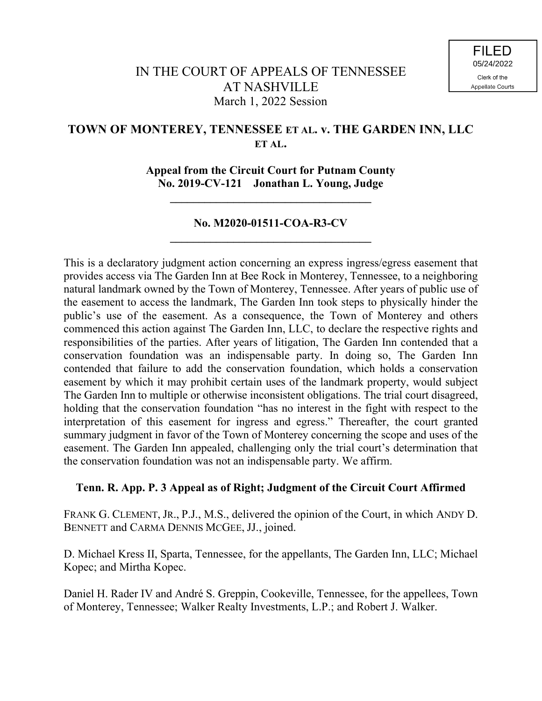# **TOWN OF MONTEREY, TENNESSEE ET AL. v. THE GARDEN INN, LLC ET AL.**

**Appeal from the Circuit Court for Putnam County No. 2019-CV-121 Jonathan L. Young, Judge**

# **No. M2020-01511-COA-R3-CV \_\_\_\_\_\_\_\_\_\_\_\_\_\_\_\_\_\_\_\_\_\_\_\_\_\_\_\_\_\_\_\_\_\_\_**

**\_\_\_\_\_\_\_\_\_\_\_\_\_\_\_\_\_\_\_\_\_\_\_\_\_\_\_\_\_\_\_\_\_\_\_**

This is a declaratory judgment action concerning an express ingress/egress easement that provides access via The Garden Inn at Bee Rock in Monterey, Tennessee, to a neighboring natural landmark owned by the Town of Monterey, Tennessee. After years of public use of the easement to access the landmark, The Garden Inn took steps to physically hinder the public's use of the easement. As a consequence, the Town of Monterey and others commenced this action against The Garden Inn, LLC, to declare the respective rights and responsibilities of the parties. After years of litigation, The Garden Inn contended that a conservation foundation was an indispensable party. In doing so, The Garden Inn contended that failure to add the conservation foundation, which holds a conservation easement by which it may prohibit certain uses of the landmark property, would subject The Garden Inn to multiple or otherwise inconsistent obligations. The trial court disagreed, holding that the conservation foundation "has no interest in the fight with respect to the interpretation of this easement for ingress and egress." Thereafter, the court granted summary judgment in favor of the Town of Monterey concerning the scope and uses of the easement. The Garden Inn appealed, challenging only the trial court's determination that the conservation foundation was not an indispensable party. We affirm.

## **Tenn. R. App. P. 3 Appeal as of Right; Judgment of the Circuit Court Affirmed**

FRANK G. CLEMENT, JR., P.J., M.S., delivered the opinion of the Court, in which ANDY D. BENNETT and CARMA DENNIS MCGEE, JJ., joined.

D. Michael Kress II, Sparta, Tennessee, for the appellants, The Garden Inn, LLC; Michael Kopec; and Mirtha Kopec.

Daniel H. Rader IV and André S. Greppin, Cookeville, Tennessee, for the appellees, Town of Monterey, Tennessee; Walker Realty Investments, L.P.; and Robert J. Walker.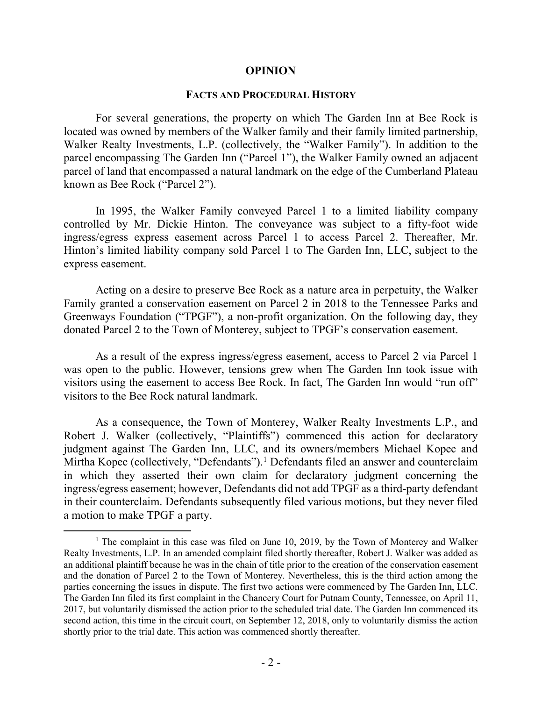### **OPINION**

#### **FACTS AND PROCEDURAL HISTORY**

For several generations, the property on which The Garden Inn at Bee Rock is located was owned by members of the Walker family and their family limited partnership, Walker Realty Investments, L.P. (collectively, the "Walker Family"). In addition to the parcel encompassing The Garden Inn ("Parcel 1"), the Walker Family owned an adjacent parcel of land that encompassed a natural landmark on the edge of the Cumberland Plateau known as Bee Rock ("Parcel 2").

In 1995, the Walker Family conveyed Parcel 1 to a limited liability company controlled by Mr. Dickie Hinton. The conveyance was subject to a fifty-foot wide ingress/egress express easement across Parcel 1 to access Parcel 2. Thereafter, Mr. Hinton's limited liability company sold Parcel 1 to The Garden Inn, LLC, subject to the express easement.

Acting on a desire to preserve Bee Rock as a nature area in perpetuity, the Walker Family granted a conservation easement on Parcel 2 in 2018 to the Tennessee Parks and Greenways Foundation ("TPGF"), a non-profit organization. On the following day, they donated Parcel 2 to the Town of Monterey, subject to TPGF's conservation easement.

As a result of the express ingress/egress easement, access to Parcel 2 via Parcel 1 was open to the public. However, tensions grew when The Garden Inn took issue with visitors using the easement to access Bee Rock. In fact, The Garden Inn would "run off" visitors to the Bee Rock natural landmark.

As a consequence, the Town of Monterey, Walker Realty Investments L.P., and Robert J. Walker (collectively, "Plaintiffs") commenced this action for declaratory judgment against The Garden Inn, LLC, and its owners/members Michael Kopec and Mirtha Kopec (collectively, "Defendants").<sup>1</sup> Defendants filed an answer and counterclaim in which they asserted their own claim for declaratory judgment concerning the ingress/egress easement; however, Defendants did not add TPGF as a third-party defendant in their counterclaim. Defendants subsequently filed various motions, but they never filed a motion to make TPGF a party.

 $\overline{a}$ 

<sup>&</sup>lt;sup>1</sup> The complaint in this case was filed on June 10, 2019, by the Town of Monterey and Walker Realty Investments, L.P. In an amended complaint filed shortly thereafter, Robert J. Walker was added as an additional plaintiff because he was in the chain of title prior to the creation of the conservation easement and the donation of Parcel 2 to the Town of Monterey. Nevertheless, this is the third action among the parties concerning the issues in dispute. The first two actions were commenced by The Garden Inn, LLC. The Garden Inn filed its first complaint in the Chancery Court for Putnam County, Tennessee, on April 11, 2017, but voluntarily dismissed the action prior to the scheduled trial date. The Garden Inn commenced its second action, this time in the circuit court, on September 12, 2018, only to voluntarily dismiss the action shortly prior to the trial date. This action was commenced shortly thereafter.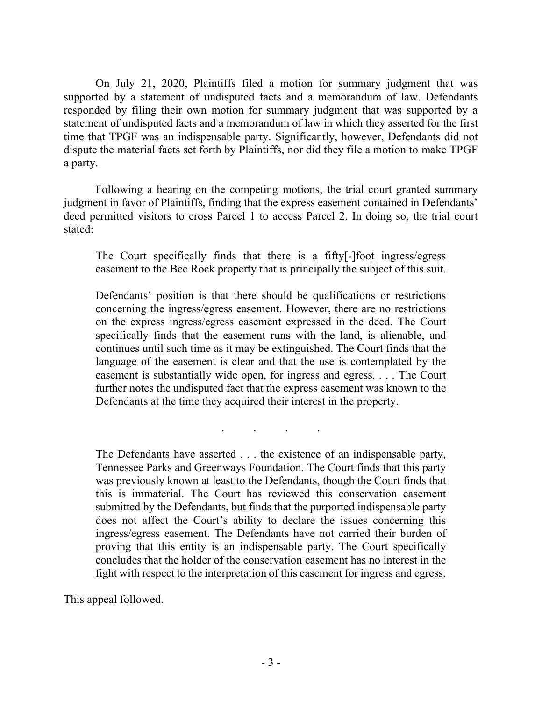On July 21, 2020, Plaintiffs filed a motion for summary judgment that was supported by a statement of undisputed facts and a memorandum of law. Defendants responded by filing their own motion for summary judgment that was supported by a statement of undisputed facts and a memorandum of law in which they asserted for the first time that TPGF was an indispensable party. Significantly, however, Defendants did not dispute the material facts set forth by Plaintiffs, nor did they file a motion to make TPGF a party.

Following a hearing on the competing motions, the trial court granted summary judgment in favor of Plaintiffs, finding that the express easement contained in Defendants' deed permitted visitors to cross Parcel 1 to access Parcel 2. In doing so, the trial court stated:

The Court specifically finds that there is a fifty[-]foot ingress/egress easement to the Bee Rock property that is principally the subject of this suit.

Defendants' position is that there should be qualifications or restrictions concerning the ingress/egress easement. However, there are no restrictions on the express ingress/egress easement expressed in the deed. The Court specifically finds that the easement runs with the land, is alienable, and continues until such time as it may be extinguished. The Court finds that the language of the easement is clear and that the use is contemplated by the easement is substantially wide open, for ingress and egress. . . . The Court further notes the undisputed fact that the express easement was known to the Defendants at the time they acquired their interest in the property.

. . . .

The Defendants have asserted . . . the existence of an indispensable party, Tennessee Parks and Greenways Foundation. The Court finds that this party was previously known at least to the Defendants, though the Court finds that this is immaterial. The Court has reviewed this conservation easement submitted by the Defendants, but finds that the purported indispensable party does not affect the Court's ability to declare the issues concerning this ingress/egress easement. The Defendants have not carried their burden of proving that this entity is an indispensable party. The Court specifically concludes that the holder of the conservation easement has no interest in the fight with respect to the interpretation of this easement for ingress and egress.

This appeal followed.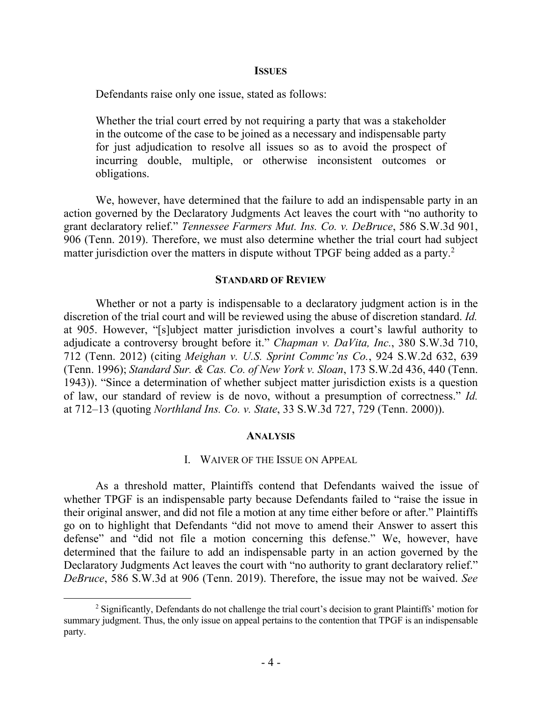### **ISSUES**

Defendants raise only one issue, stated as follows:

Whether the trial court erred by not requiring a party that was a stakeholder in the outcome of the case to be joined as a necessary and indispensable party for just adjudication to resolve all issues so as to avoid the prospect of incurring double, multiple, or otherwise inconsistent outcomes or obligations.

We, however, have determined that the failure to add an indispensable party in an action governed by the Declaratory Judgments Act leaves the court with "no authority to grant declaratory relief." *Tennessee Farmers Mut. Ins. Co. v. DeBruce*, 586 S.W.3d 901, 906 (Tenn. 2019). Therefore, we must also determine whether the trial court had subject matter jurisdiction over the matters in dispute without TPGF being added as a party.<sup>2</sup>

## **STANDARD OF REVIEW**

Whether or not a party is indispensable to a declaratory judgment action is in the discretion of the trial court and will be reviewed using the abuse of discretion standard. *Id.* at 905. However, "[s]ubject matter jurisdiction involves a court's lawful authority to adjudicate a controversy brought before it." *Chapman v. DaVita, Inc.*, 380 S.W.3d 710, 712 (Tenn. 2012) (citing *Meighan v. U.S. Sprint Commc'ns Co.*, 924 S.W.2d 632, 639 (Tenn. 1996); *Standard Sur. & Cas. Co. of New York v. Sloan*, 173 S.W.2d 436, 440 (Tenn. 1943)). "Since a determination of whether subject matter jurisdiction exists is a question of law, our standard of review is de novo, without a presumption of correctness." *Id.* at 712–13 (quoting *Northland Ins. Co. v. State*, 33 S.W.3d 727, 729 (Tenn. 2000)).

#### **ANALYSIS**

## I. WAIVER OF THE ISSUE ON APPEAL

As a threshold matter, Plaintiffs contend that Defendants waived the issue of whether TPGF is an indispensable party because Defendants failed to "raise the issue in their original answer, and did not file a motion at any time either before or after." Plaintiffs go on to highlight that Defendants "did not move to amend their Answer to assert this defense" and "did not file a motion concerning this defense." We, however, have determined that the failure to add an indispensable party in an action governed by the Declaratory Judgments Act leaves the court with "no authority to grant declaratory relief." *DeBruce*, 586 S.W.3d at 906 (Tenn. 2019). Therefore, the issue may not be waived. *See*

 $\overline{a}$ 

<sup>&</sup>lt;sup>2</sup> Significantly, Defendants do not challenge the trial court's decision to grant Plaintiffs' motion for summary judgment. Thus, the only issue on appeal pertains to the contention that TPGF is an indispensable party.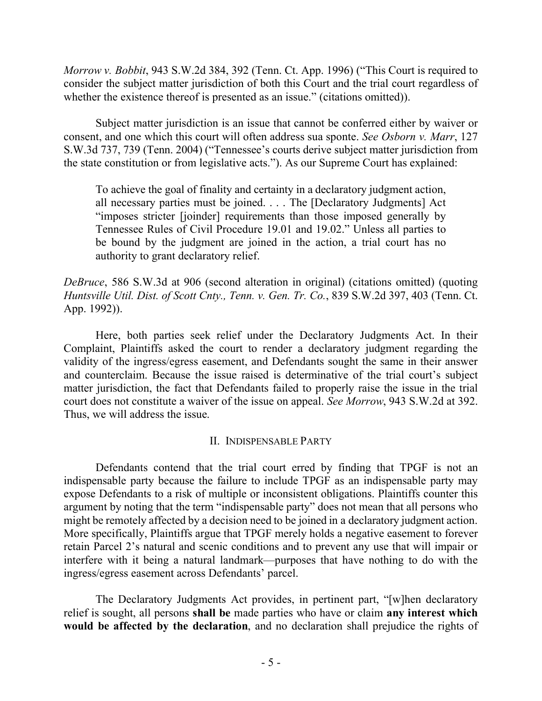*Morrow v. Bobbit*, 943 S.W.2d 384, 392 (Tenn. Ct. App. 1996) ("This Court is required to consider the subject matter jurisdiction of both this Court and the trial court regardless of whether the existence thereof is presented as an issue." (citations omitted)).

Subject matter jurisdiction is an issue that cannot be conferred either by waiver or consent, and one which this court will often address sua sponte. *See Osborn v. Marr*, 127 S.W.3d 737, 739 (Tenn. 2004) ("Tennessee's courts derive subject matter jurisdiction from the state constitution or from legislative acts."). As our Supreme Court has explained:

To achieve the goal of finality and certainty in a declaratory judgment action, all necessary parties must be joined. . . . The [Declaratory Judgments] Act "imposes stricter [joinder] requirements than those imposed generally by Tennessee Rules of Civil Procedure 19.01 and 19.02." Unless all parties to be bound by the judgment are joined in the action, a trial court has no authority to grant declaratory relief.

*DeBruce*, 586 S.W.3d at 906 (second alteration in original) (citations omitted) (quoting *Huntsville Util. Dist. of Scott Cnty., Tenn. v. Gen. Tr. Co.*, 839 S.W.2d 397, 403 (Tenn. Ct. App. 1992)).

Here, both parties seek relief under the Declaratory Judgments Act. In their Complaint, Plaintiffs asked the court to render a declaratory judgment regarding the validity of the ingress/egress easement, and Defendants sought the same in their answer and counterclaim. Because the issue raised is determinative of the trial court's subject matter jurisdiction, the fact that Defendants failed to properly raise the issue in the trial court does not constitute a waiver of the issue on appeal. *See Morrow*, 943 S.W.2d at 392. Thus, we will address the issue.

## II. INDISPENSABLE PARTY

Defendants contend that the trial court erred by finding that TPGF is not an indispensable party because the failure to include TPGF as an indispensable party may expose Defendants to a risk of multiple or inconsistent obligations. Plaintiffs counter this argument by noting that the term "indispensable party" does not mean that all persons who might be remotely affected by a decision need to be joined in a declaratory judgment action. More specifically, Plaintiffs argue that TPGF merely holds a negative easement to forever retain Parcel 2's natural and scenic conditions and to prevent any use that will impair or interfere with it being a natural landmark—purposes that have nothing to do with the ingress/egress easement across Defendants' parcel.

The Declaratory Judgments Act provides, in pertinent part, "[w]hen declaratory relief is sought, all persons **shall be** made parties who have or claim **any interest which would be affected by the declaration**, and no declaration shall prejudice the rights of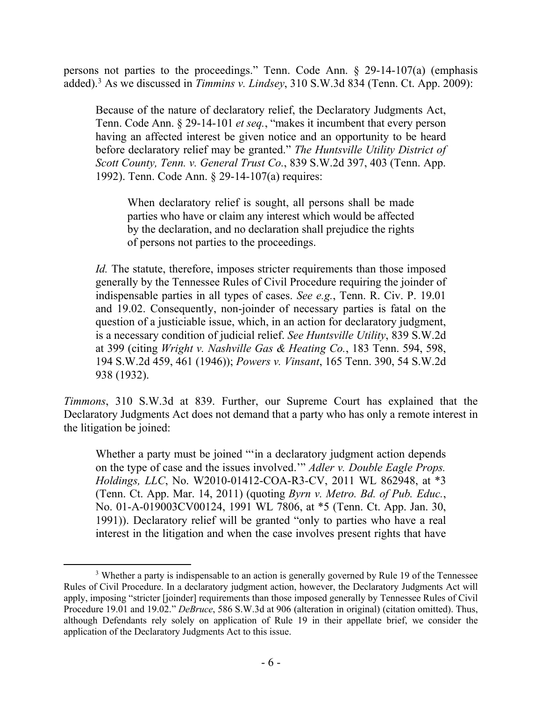persons not parties to the proceedings." Tenn. Code Ann. § 29-14-107(a) (emphasis added). <sup>3</sup> As we discussed in *Timmins v. Lindsey*, 310 S.W.3d 834 (Tenn. Ct. App. 2009):

Because of the nature of declaratory relief, the Declaratory Judgments Act, Tenn. Code Ann. § 29-14-101 *et seq.*, "makes it incumbent that every person having an affected interest be given notice and an opportunity to be heard before declaratory relief may be granted." *The Huntsville Utility District of Scott County, Tenn. v. General Trust Co.*, 839 S.W.2d 397, 403 (Tenn. App. 1992). Tenn. Code Ann. § 29-14-107(a) requires:

When declaratory relief is sought, all persons shall be made parties who have or claim any interest which would be affected by the declaration, and no declaration shall prejudice the rights of persons not parties to the proceedings.

*Id.* The statute, therefore, imposes stricter requirements than those imposed generally by the Tennessee Rules of Civil Procedure requiring the joinder of indispensable parties in all types of cases. *See e.g.*, Tenn. R. Civ. P. 19.01 and 19.02. Consequently, non-joinder of necessary parties is fatal on the question of a justiciable issue, which, in an action for declaratory judgment, is a necessary condition of judicial relief. *See Huntsville Utility*, 839 S.W.2d at 399 (citing *Wright v. Nashville Gas & Heating Co.*, 183 Tenn. 594, 598, 194 S.W.2d 459, 461 (1946)); *Powers v. Vinsant*, 165 Tenn. 390, 54 S.W.2d 938 (1932).

*Timmons*, 310 S.W.3d at 839. Further, our Supreme Court has explained that the Declaratory Judgments Act does not demand that a party who has only a remote interest in the litigation be joined:

Whether a party must be joined ""in a declaratory judgment action depends on the type of case and the issues involved.'" *Adler v. Double Eagle Props. Holdings, LLC*, No. W2010-01412-COA-R3-CV, 2011 WL 862948, at \*3 (Tenn. Ct. App. Mar. 14, 2011) (quoting *Byrn v. Metro. Bd. of Pub. Educ.*, No. 01-A-019003CV00124, 1991 WL 7806, at \*5 (Tenn. Ct. App. Jan. 30, 1991)). Declaratory relief will be granted "only to parties who have a real interest in the litigation and when the case involves present rights that have

 $\overline{a}$ 

<sup>&</sup>lt;sup>3</sup> Whether a party is indispensable to an action is generally governed by Rule 19 of the Tennessee Rules of Civil Procedure. In a declaratory judgment action, however, the Declaratory Judgments Act will apply, imposing "stricter [joinder] requirements than those imposed generally by Tennessee Rules of Civil Procedure 19.01 and 19.02." *DeBruce*, 586 S.W.3d at 906 (alteration in original) (citation omitted). Thus, although Defendants rely solely on application of Rule 19 in their appellate brief, we consider the application of the Declaratory Judgments Act to this issue.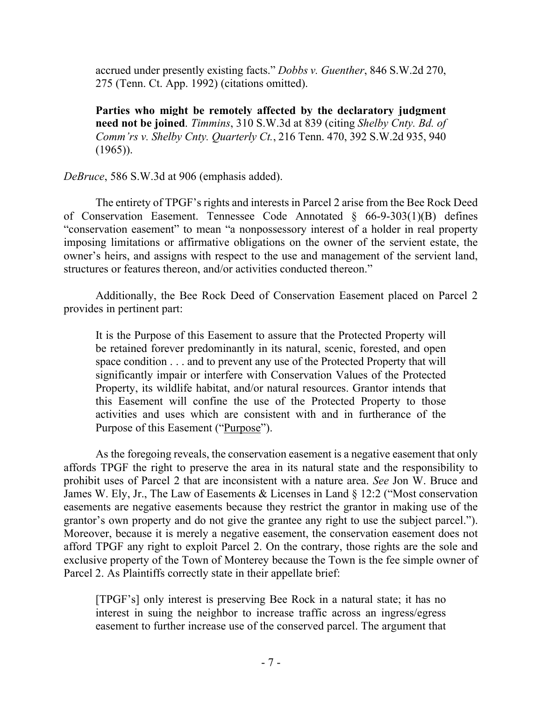accrued under presently existing facts." *Dobbs v. Guenther*, 846 S.W.2d 270, 275 (Tenn. Ct. App. 1992) (citations omitted).

**Parties who might be remotely affected by the declaratory judgment need not be joined**. *Timmins*, 310 S.W.3d at 839 (citing *Shelby Cnty. Bd. of Comm'rs v. Shelby Cnty. Quarterly Ct.*, 216 Tenn. 470, 392 S.W.2d 935, 940 (1965)).

*DeBruce*, 586 S.W.3d at 906 (emphasis added).

The entirety of TPGF's rights and interests in Parcel 2 arise from the Bee Rock Deed of Conservation Easement. Tennessee Code Annotated § 66-9-303(1)(B) defines "conservation easement" to mean "a nonpossessory interest of a holder in real property imposing limitations or affirmative obligations on the owner of the servient estate, the owner's heirs, and assigns with respect to the use and management of the servient land, structures or features thereon, and/or activities conducted thereon."

Additionally, the Bee Rock Deed of Conservation Easement placed on Parcel 2 provides in pertinent part:

It is the Purpose of this Easement to assure that the Protected Property will be retained forever predominantly in its natural, scenic, forested, and open space condition . . . and to prevent any use of the Protected Property that will significantly impair or interfere with Conservation Values of the Protected Property, its wildlife habitat, and/or natural resources. Grantor intends that this Easement will confine the use of the Protected Property to those activities and uses which are consistent with and in furtherance of the Purpose of this Easement ("Purpose").

As the foregoing reveals, the conservation easement is a negative easement that only affords TPGF the right to preserve the area in its natural state and the responsibility to prohibit uses of Parcel 2 that are inconsistent with a nature area. *See* Jon W. Bruce and James W. Ely, Jr., The Law of Easements & Licenses in Land § 12:2 ("Most conservation easements are negative easements because they restrict the grantor in making use of the grantor's own property and do not give the grantee any right to use the subject parcel."). Moreover, because it is merely a negative easement, the conservation easement does not afford TPGF any right to exploit Parcel 2. On the contrary, those rights are the sole and exclusive property of the Town of Monterey because the Town is the fee simple owner of Parcel 2. As Plaintiffs correctly state in their appellate brief:

[TPGF's] only interest is preserving Bee Rock in a natural state; it has no interest in suing the neighbor to increase traffic across an ingress/egress easement to further increase use of the conserved parcel. The argument that